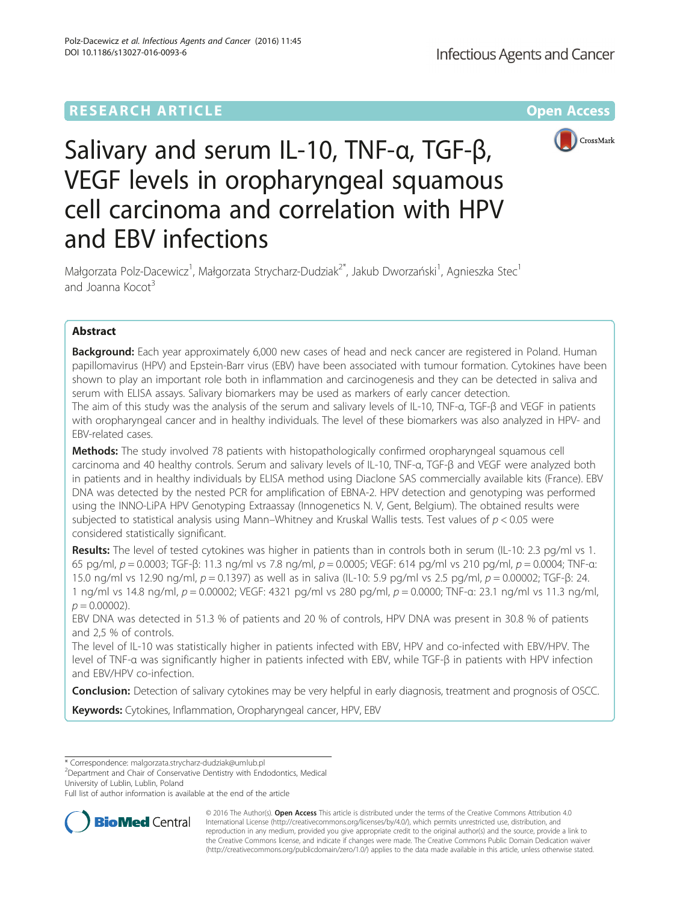## **RESEARCH ARTICLE External Structure Community Community Community Community Community Community Community Community**



# Salivary and serum IL-10, TNF-α, TGF-β, VEGF levels in oropharyngeal squamous cell carcinoma and correlation with HPV and EBV infections

Małgorzata Polz-Dacewicz<sup>1</sup>, Małgorzata Strycharz-Dudziak<sup>2\*</sup>, Jakub Dworzański<sup>1</sup>, Agnieszka Stec<sup>1</sup> and Joanna Kocot<sup>3</sup>

## Abstract

**Background:** Each year approximately 6,000 new cases of head and neck cancer are registered in Poland. Human papillomavirus (HPV) and Epstein-Barr virus (EBV) have been associated with tumour formation. Cytokines have been shown to play an important role both in inflammation and carcinogenesis and they can be detected in saliva and serum with ELISA assays. Salivary biomarkers may be used as markers of early cancer detection. The aim of this study was the analysis of the serum and salivary levels of IL-10, TNF-α, TGF-β and VEGF in patients with oropharyngeal cancer and in healthy individuals. The level of these biomarkers was also analyzed in HPV- and EBV-related cases.

Methods: The study involved 78 patients with histopathologically confirmed oropharyngeal squamous cell carcinoma and 40 healthy controls. Serum and salivary levels of IL-10, TNF-α, TGF-β and VEGF were analyzed both in patients and in healthy individuals by ELISA method using Diaclone SAS commercially available kits (France). EBV DNA was detected by the nested PCR for amplification of EBNA-2. HPV detection and genotyping was performed using the INNO-LiPA HPV Genotyping Extraassay (Innogenetics N. V, Gent, Belgium). The obtained results were subjected to statistical analysis using Mann–Whitney and Kruskal Wallis tests. Test values of  $p < 0.05$  were considered statistically significant.

Results: The level of tested cytokines was higher in patients than in controls both in serum (IL-10: 2.3 pg/ml vs 1. 65 pg/ml,  $p = 0.0003$ ; TGF-β: 11.3 ng/ml vs 7.8 ng/ml,  $p = 0.0005$ ; VEGF: 614 pg/ml vs 210 pg/ml,  $p = 0.0004$ ; TNF-α: 15.0 ng/ml vs 12.90 ng/ml, p = 0.1397) as well as in saliva (IL-10: 5.9 pg/ml vs 2.5 pg/ml, p = 0.00002; TGF-β: 24. 1 ng/ml vs 14.8 ng/ml, p = 0.00002; VEGF: 4321 pg/ml vs 280 pg/ml, p = 0.0000; TNF-α: 23.1 ng/ml vs 11.3 ng/ml,  $p = 0.00002$ ).

EBV DNA was detected in 51.3 % of patients and 20 % of controls, HPV DNA was present in 30.8 % of patients and 2,5 % of controls.

The level of IL-10 was statistically higher in patients infected with EBV, HPV and co-infected with EBV/HPV. The level of TNF-α was significantly higher in patients infected with EBV, while TGF-β in patients with HPV infection and EBV/HPV co-infection.

**Conclusion:** Detection of salivary cytokines may be very helpful in early diagnosis, treatment and prognosis of OSCC.

Keywords: Cytokines, Inflammation, Oropharyngeal cancer, HPV, EBV

\* Correspondence: [malgorzata.strycharz-dudziak@umlub.pl](mailto:malgorzata.strycharz-dudziak@umlub.pl) <sup>2</sup>

<sup>2</sup>Department and Chair of Conservative Dentistry with Endodontics, Medical University of Lublin, Lublin, Poland

Full list of author information is available at the end of the article



© 2016 The Author(s). Open Access This article is distributed under the terms of the Creative Commons Attribution 4.0 International License [\(http://creativecommons.org/licenses/by/4.0/](http://creativecommons.org/licenses/by/4.0/)), which permits unrestricted use, distribution, and reproduction in any medium, provided you give appropriate credit to the original author(s) and the source, provide a link to the Creative Commons license, and indicate if changes were made. The Creative Commons Public Domain Dedication waiver [\(http://creativecommons.org/publicdomain/zero/1.0/](http://creativecommons.org/publicdomain/zero/1.0/)) applies to the data made available in this article, unless otherwise stated.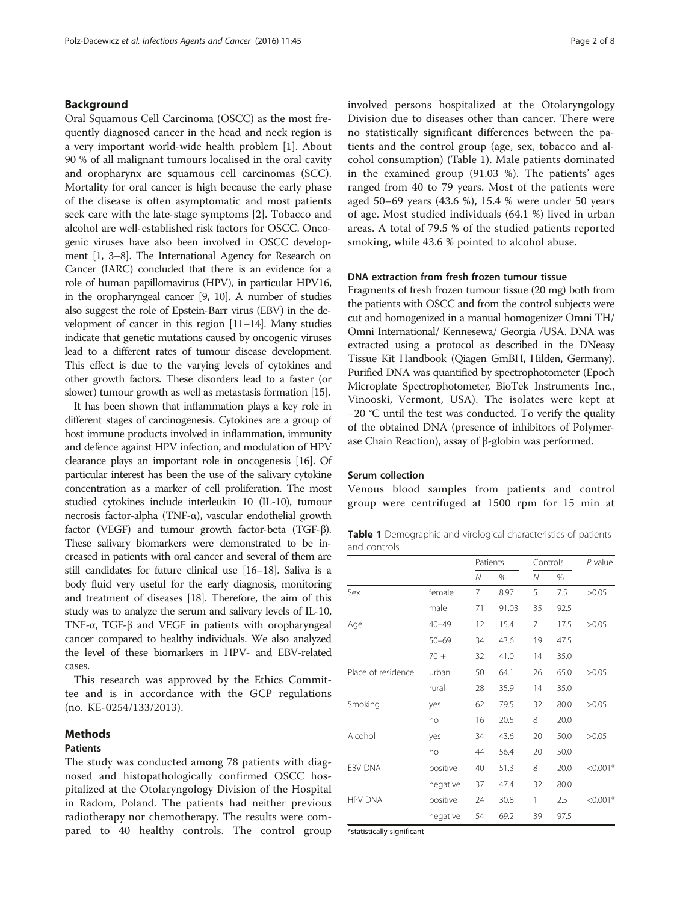## Background

Oral Squamous Cell Carcinoma (OSCC) as the most frequently diagnosed cancer in the head and neck region is a very important world-wide health problem [[1\]](#page-6-0). About 90 % of all malignant tumours localised in the oral cavity and oropharynx are squamous cell carcinomas (SCC). Mortality for oral cancer is high because the early phase of the disease is often asymptomatic and most patients seek care with the late-stage symptoms [[2\]](#page-6-0). Tobacco and alcohol are well-established risk factors for OSCC. Oncogenic viruses have also been involved in OSCC development [\[1, 3](#page-6-0)–[8](#page-6-0)]. The International Agency for Research on Cancer (IARC) concluded that there is an evidence for a role of human papillomavirus (HPV), in particular HPV16, in the oropharyngeal cancer [\[9, 10](#page-6-0)]. A number of studies also suggest the role of Epstein-Barr virus (EBV) in the development of cancer in this region [[11](#page-6-0)–[14](#page-6-0)]. Many studies indicate that genetic mutations caused by oncogenic viruses lead to a different rates of tumour disease development. This effect is due to the varying levels of cytokines and other growth factors. These disorders lead to a faster (or slower) tumour growth as well as metastasis formation [\[15](#page-6-0)].

It has been shown that inflammation plays a key role in different stages of carcinogenesis. Cytokines are a group of host immune products involved in inflammation, immunity and defence against HPV infection, and modulation of HPV clearance plays an important role in oncogenesis [\[16](#page-6-0)]. Of particular interest has been the use of the salivary cytokine concentration as a marker of cell proliferation. The most studied cytokines include interleukin 10 (IL-10), tumour necrosis factor-alpha (TNF-α), vascular endothelial growth factor (VEGF) and tumour growth factor-beta (TGF-β). These salivary biomarkers were demonstrated to be increased in patients with oral cancer and several of them are still candidates for future clinical use [\[16](#page-6-0)–[18\]](#page-6-0). Saliva is a body fluid very useful for the early diagnosis, monitoring and treatment of diseases [\[18](#page-6-0)]. Therefore, the aim of this study was to analyze the serum and salivary levels of IL-10, TNF-α, TGF-β and VEGF in patients with oropharyngeal cancer compared to healthy individuals. We also analyzed the level of these biomarkers in HPV- and EBV-related cases.

This research was approved by the Ethics Committee and is in accordance with the GCP regulations (no. KE-0254/133/2013).

## Methods

## Patients

The study was conducted among 78 patients with diagnosed and histopathologically confirmed OSCC hospitalized at the Otolaryngology Division of the Hospital in Radom, Poland. The patients had neither previous radiotherapy nor chemotherapy. The results were compared to 40 healthy controls. The control group involved persons hospitalized at the Otolaryngology Division due to diseases other than cancer. There were no statistically significant differences between the patients and the control group (age, sex, tobacco and alcohol consumption) (Table 1). Male patients dominated in the examined group (91.03 %). The patients' ages ranged from 40 to 79 years. Most of the patients were aged 50–69 years (43.6 %), 15.4 % were under 50 years of age. Most studied individuals (64.1 %) lived in urban areas. A total of 79.5 % of the studied patients reported smoking, while 43.6 % pointed to alcohol abuse.

## DNA extraction from fresh frozen tumour tissue

Fragments of fresh frozen tumour tissue (20 mg) both from the patients with OSCC and from the control subjects were cut and homogenized in a manual homogenizer Omni TH/ Omni International/ Kennesewa/ Georgia /USA. DNA was extracted using a protocol as described in the DNeasy Tissue Kit Handbook (Qiagen GmBH, Hilden, Germany). Purified DNA was quantified by spectrophotometer (Epoch Microplate Spectrophotometer, BioTek Instruments Inc., Vinooski, Vermont, USA). The isolates were kept at −20 °C until the test was conducted. To verify the quality of the obtained DNA (presence of inhibitors of Polymerase Chain Reaction), assay of β-globin was performed.

#### Serum collection

Venous blood samples from patients and control group were centrifuged at 1500 rpm for 15 min at

Table 1 Demographic and virological characteristics of patients and controls

|                    |           | Patients |       | Controls |      | $P$ value  |
|--------------------|-----------|----------|-------|----------|------|------------|
|                    |           | N        | $\%$  | Ν        | $\%$ |            |
| Sex                | female    | 7        | 8.97  | 5        | 7.5  | >0.05      |
|                    | male      | 71       | 91.03 | 35       | 92.5 |            |
| Age                | $40 - 49$ | 12       | 15.4  | 7        | 17.5 | >0.05      |
|                    | $50 - 69$ | 34       | 43.6  | 19       | 47.5 |            |
|                    | $70 +$    | 32       | 41.0  | 14       | 35.0 |            |
| Place of residence | urban     | 50       | 64.1  | 26       | 65.0 | >0.05      |
|                    | rural     | 28       | 35.9  | 14       | 35.0 |            |
| Smoking            | yes       | 62       | 79.5  | 32       | 80.0 | >0.05      |
|                    | no        | 16       | 20.5  | 8        | 20.0 |            |
| Alcohol            | yes       | 34       | 43.6  | 20       | 50.0 | >0.05      |
|                    | no        | 44       | 56.4  | 20       | 50.0 |            |
| <b>EBV DNA</b>     | positive  | 40       | 51.3  | 8        | 20.0 | $< 0.001*$ |
|                    | negative  | 37       | 47.4  | 32       | 80.0 |            |
| <b>HPV DNA</b>     | positive  | 24       | 30.8  | 1        | 2.5  | $< 0.001*$ |
|                    | negative  | 54       | 69.2  | 39       | 97.5 |            |

\*statistically significant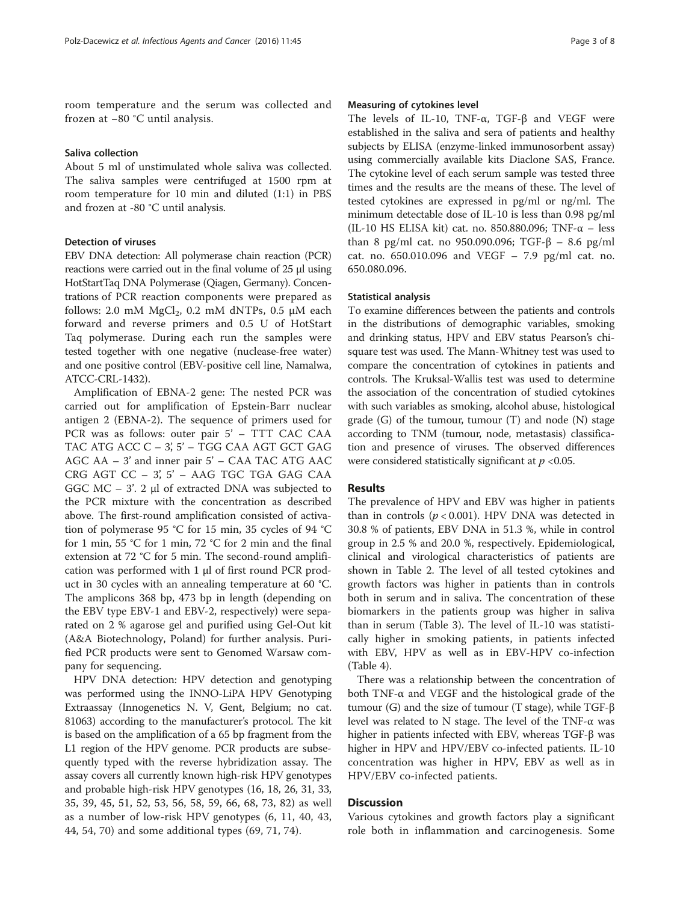room temperature and the serum was collected and frozen at −80 °C until analysis.

## Saliva collection

About 5 ml of unstimulated whole saliva was collected. The saliva samples were centrifuged at 1500 rpm at room temperature for 10 min and diluted (1:1) in PBS and frozen at -80 °C until analysis.

## Detection of viruses

EBV DNA detection: All polymerase chain reaction (PCR) reactions were carried out in the final volume of 25 μl using HotStartTaq DNA Polymerase (Qiagen, Germany). Concentrations of PCR reaction components were prepared as follows: 2.0 mM  $MgCl<sub>2</sub>$ , 0.2 mM dNTPs, 0.5  $\mu$ M each forward and reverse primers and 0.5 U of HotStart Taq polymerase. During each run the samples were tested together with one negative (nuclease-free water) and one positive control (EBV-positive cell line, Namalwa, ATCC-CRL-1432).

Amplification of EBNA-2 gene: The nested PCR was carried out for amplification of Epstein-Barr nuclear antigen 2 (EBNA-2). The sequence of primers used for PCR was as follows: outer pair 5' – TTT CAC CAA TAC ATG ACC C – 3', 5' – TGG CAA AGT GCT GAG AGC AA – 3' and inner pair 5' – CAA TAC ATG AAC CRG AGT CC – 3', 5' – AAG TGC TGA GAG CAA GGC MC – 3'. 2 μl of extracted DNA was subjected to the PCR mixture with the concentration as described above. The first-round amplification consisted of activation of polymerase 95 °C for 15 min, 35 cycles of 94 °C for 1 min, 55 °C for 1 min, 72 °C for 2 min and the final extension at 72 °C for 5 min. The second-round amplification was performed with 1 μl of first round PCR product in 30 cycles with an annealing temperature at 60 °C. The amplicons 368 bp, 473 bp in length (depending on the EBV type EBV-1 and EBV-2, respectively) were separated on 2 % agarose gel and purified using Gel-Out kit (A&A Biotechnology, Poland) for further analysis. Purified PCR products were sent to Genomed Warsaw company for sequencing.

HPV DNA detection: HPV detection and genotyping was performed using the INNO-LiPA HPV Genotyping Extraassay (Innogenetics N. V, Gent, Belgium; no cat. 81063) according to the manufacturer's protocol. The kit is based on the amplification of a 65 bp fragment from the L1 region of the HPV genome. PCR products are subsequently typed with the reverse hybridization assay. The assay covers all currently known high-risk HPV genotypes and probable high-risk HPV genotypes (16, 18, 26, 31, 33, 35, 39, 45, 51, 52, 53, 56, 58, 59, 66, 68, 73, 82) as well as a number of low-risk HPV genotypes (6, 11, 40, 43, 44, 54, 70) and some additional types (69, 71, 74).

## Measuring of cytokines level

The levels of IL-10, TNF-α, TGF-β and VEGF were established in the saliva and sera of patients and healthy subjects by ELISA (enzyme-linked immunosorbent assay) using commercially available kits Diaclone SAS, France. The cytokine level of each serum sample was tested three times and the results are the means of these. The level of tested cytokines are expressed in pg/ml or ng/ml. The minimum detectable dose of IL-10 is less than 0.98 pg/ml (IL-10 HS ELISA kit) cat. no. 850.880.096; TNF-α – less than 8 pg/ml cat. no 950.090.096; TGF-β – 8.6 pg/ml cat. no. 650.010.096 and VEGF – 7.9 pg/ml cat. no. 650.080.096.

## Statistical analysis

To examine differences between the patients and controls in the distributions of demographic variables, smoking and drinking status, HPV and EBV status Pearson's chisquare test was used. The Mann-Whitney test was used to compare the concentration of cytokines in patients and controls. The Kruksal-Wallis test was used to determine the association of the concentration of studied cytokines with such variables as smoking, alcohol abuse, histological grade  $(G)$  of the tumour, tumour  $(T)$  and node  $(N)$  stage according to TNM (tumour, node, metastasis) classification and presence of viruses. The observed differences were considered statistically significant at  $p < 0.05$ .

## Results

The prevalence of HPV and EBV was higher in patients than in controls  $(p < 0.001)$ . HPV DNA was detected in 30.8 % of patients, EBV DNA in 51.3 %, while in control group in 2.5 % and 20.0 %, respectively. Epidemiological, clinical and virological characteristics of patients are shown in Table [2](#page-3-0). The level of all tested cytokines and growth factors was higher in patients than in controls both in serum and in saliva. The concentration of these biomarkers in the patients group was higher in saliva than in serum (Table [3](#page-3-0)). The level of IL-10 was statistically higher in smoking patients, in patients infected with EBV, HPV as well as in EBV-HPV co-infection (Table [4\)](#page-3-0).

There was a relationship between the concentration of both TNF-α and VEGF and the histological grade of the tumour (G) and the size of tumour (T stage), while  $T$ GF-β level was related to N stage. The level of the TNF-α was higher in patients infected with EBV, whereas TGF-β was higher in HPV and HPV/EBV co-infected patients. IL-10 concentration was higher in HPV, EBV as well as in HPV/EBV co-infected patients.

## **Discussion**

Various cytokines and growth factors play a significant role both in inflammation and carcinogenesis. Some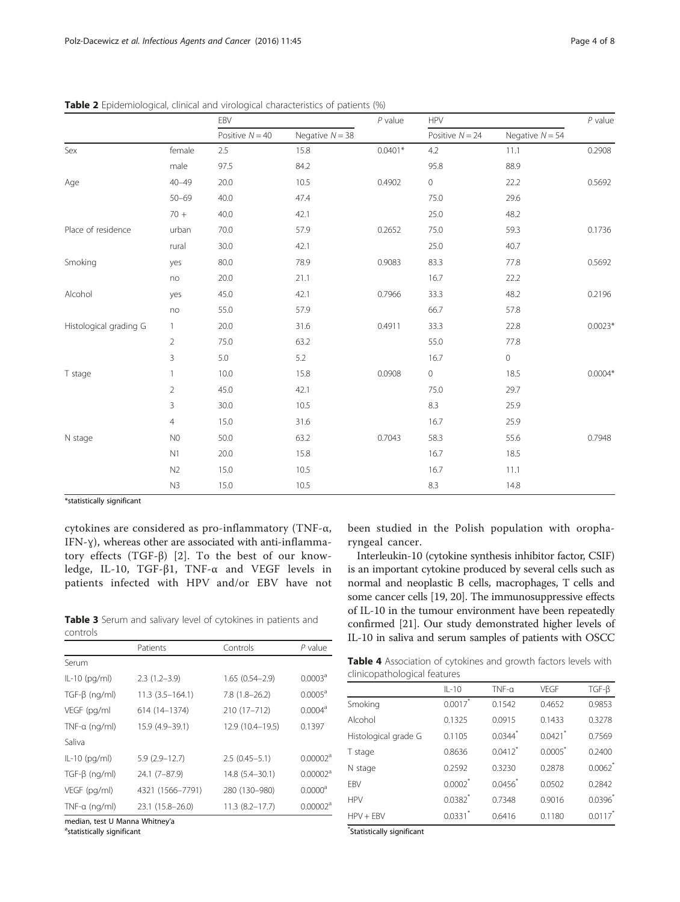|                        |                | EBV               |                   | $P$ value | <b>HPV</b>        |                   | $P$ value |
|------------------------|----------------|-------------------|-------------------|-----------|-------------------|-------------------|-----------|
|                        |                | Positive $N = 40$ | Negative $N = 38$ |           | Positive $N = 24$ | Negative $N = 54$ |           |
| Sex                    | female         | $2.5\,$           | 15.8              | $0.0401*$ | 4.2               | 11.1              | 0.2908    |
|                        | male           | 97.5              | 84.2              |           | 95.8              | 88.9              |           |
| Age                    | $40 - 49$      | 20.0              | 10.5              | 0.4902    | $\circ$           | 22.2              | 0.5692    |
|                        | $50 - 69$      | 40.0              | 47.4              |           | 75.0              | 29.6              |           |
|                        | $70 +$         | 40.0              | 42.1              |           | 25.0              | 48.2              |           |
| Place of residence     | urban          | 70.0              | 57.9              | 0.2652    | 75.0              | 59.3              | 0.1736    |
|                        | rural          | 30.0              | 42.1              |           | 25.0              | 40.7              |           |
| Smoking                | yes            | 80.0              | 78.9              | 0.9083    | 83.3              | 77.8              | 0.5692    |
|                        | no             | 20.0              | 21.1              |           | 16.7              | 22.2              |           |
| Alcohol                | yes            | 45.0              | 42.1              | 0.7966    | 33.3              | 48.2              | 0.2196    |
|                        | no             | 55.0              | 57.9              |           | 66.7              | 57.8              |           |
| Histological grading G | $\mathbf{1}$   | 20.0              | 31.6              | 0.4911    | 33.3              | 22.8              | $0.0023*$ |
|                        | 2              | 75.0              | 63.2              |           | 55.0              | 77.8              |           |
|                        | 3              | 5.0               | 5.2               |           | 16.7              | $\mathbf 0$       |           |
| T stage                | 1              | 10.0              | 15.8              | 0.0908    | $\circ$           | 18.5              | $0.0004*$ |
|                        | $\overline{2}$ | 45.0              | 42.1              |           | 75.0              | 29.7              |           |
|                        | 3              | 30.0              | 10.5              |           | 8.3               | 25.9              |           |
|                        | $\overline{4}$ | 15.0              | 31.6              |           | 16.7              | 25.9              |           |
| N stage                | N <sub>0</sub> | 50.0              | 63.2              | 0.7043    | 58.3              | 55.6              | 0.7948    |
|                        | N1             | 20.0              | 15.8              |           | 16.7              | 18.5              |           |
|                        | N2             | 15.0              | 10.5              |           | 16.7              | 11.1              |           |
|                        | N3             | 15.0              | 10.5              |           | 8.3               | 14.8              |           |

<span id="page-3-0"></span>Table 2 Epidemiological, clinical and virological characteristics of patients (%)

\*statistically significant

cytokines are considered as pro-inflammatory (TNF-α, IFN-ɣ), whereas other are associated with anti-inflammatory effects (TGF-β) [[2\]](#page-6-0). To the best of our knowledge, IL-10, TGF-β1, TNF-α and VEGF levels in patients infected with HPV and/or EBV have not

Table 3 Serum and salivary level of cytokines in patients and controls

|                     | Patients            | Controls            | $P$ value            |  |
|---------------------|---------------------|---------------------|----------------------|--|
| Serum               |                     |                     |                      |  |
| $IL-10$ (pg/ml)     | $2.3(1.2-3.9)$      | $1.65(0.54 - 2.9)$  | 0.0003 <sup>a</sup>  |  |
| $TGF-\beta$ (ng/ml) | $11.3(3.5 - 164.1)$ | $7.8(1.8-26.2)$     | $0.0005^{\text{a}}$  |  |
| VEGF (pg/ml         | 614 (14-1374)       | 210 (17-712)        | $0.0004^{\text{a}}$  |  |
| TNF-a (ng/ml)       | 15.9 (4.9-39.1)     | 12.9 (10.4-19.5)    | 0.1397               |  |
| Saliva              |                     |                     |                      |  |
| $IL-10$ (pg/ml)     | $5.9(2.9 - 12.7)$   | $2.5(0.45-5.1)$     | 0.00002 <sup>a</sup> |  |
| $TGF-\beta$ (ng/ml) | 24.1 (7-87.9)       | 14.8 (5.4-30.1)     | 0.00002 <sup>a</sup> |  |
| VEGF (pg/ml)        | 4321 (1566-7791)    | 280 (130-980)       | 0.0000 <sup>a</sup>  |  |
| $TNF-a$ (ng/ml)     | 23.1 (15.8-26.0)    | $11.3 (8.2 - 17.7)$ | 0.00002 <sup>a</sup> |  |

median, test U Manna Whitney'a

a<sub>statistically</sub> significant

been studied in the Polish population with oropharyngeal cancer.

Interleukin-10 (cytokine synthesis inhibitor factor, CSIF) is an important cytokine produced by several cells such as normal and neoplastic B cells, macrophages, T cells and some cancer cells [\[19, 20](#page-6-0)]. The immunosuppressive effects of IL-10 in the tumour environment have been repeatedly confirmed [[21](#page-6-0)]. Our study demonstrated higher levels of IL-10 in saliva and serum samples of patients with OSCC

Table 4 Association of cytokines and growth factors levels with clinicopathological features

|                      | $II - 10$             | $TNF-\alpha$          | <b>VEGF</b>           | $TGF-B$               |
|----------------------|-----------------------|-----------------------|-----------------------|-----------------------|
| Smoking              | 0.0017                | 0.1542                | 0.4652                | 0.9853                |
| Alcohol              | 0.1325                | 0.0915                | 0.1433                | 0.3278                |
| Histological grade G | 0.1105                | $0.0344*$             | $0.0421$ <sup>*</sup> | 0.7569                |
| T stage              | 0.8636                | $0.0412$ <sup>*</sup> | 0.0005                | 0.2400                |
| N stage              | 0.2592                | 0.3230                | 0.2878                | $0.0062$ <sup>*</sup> |
| <b>FBV</b>           | $0.0002$ <sup>*</sup> | $0.0456*$             | 0.0502                | 0.2842                |
| <b>HPV</b>           | $0.0382$ <sup>*</sup> | 0.7348                | 0.9016                | $0.0396^{*}$          |
| $HPV + FBV$          | $0.0331$ <sup>*</sup> | 0.6416                | 0.1180                | $0.0117$ <sup>*</sup> |

\* Statistically significant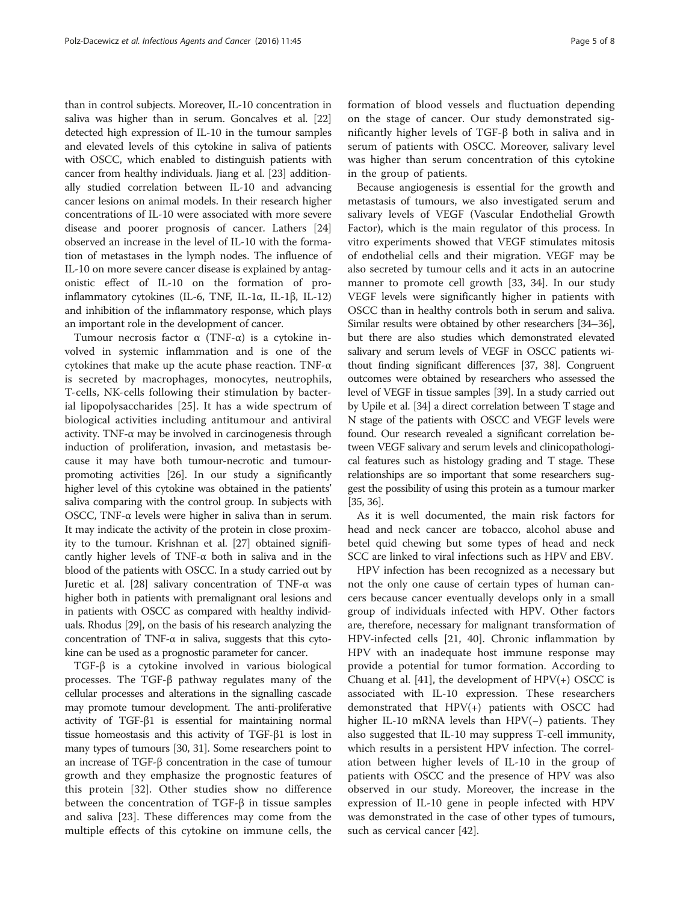than in control subjects. Moreover, IL-10 concentration in saliva was higher than in serum. Goncalves et al. [[22](#page-6-0)] detected high expression of IL-10 in the tumour samples and elevated levels of this cytokine in saliva of patients with OSCC, which enabled to distinguish patients with cancer from healthy individuals. Jiang et al. [\[23\]](#page-6-0) additionally studied correlation between IL-10 and advancing cancer lesions on animal models. In their research higher concentrations of IL-10 were associated with more severe disease and poorer prognosis of cancer. Lathers [[24](#page-6-0)] observed an increase in the level of IL-10 with the formation of metastases in the lymph nodes. The influence of IL-10 on more severe cancer disease is explained by antagonistic effect of IL-10 on the formation of proinflammatory cytokines (IL-6, TNF, IL-1α, IL-1β, IL-12) and inhibition of the inflammatory response, which plays an important role in the development of cancer.

Tumour necrosis factor α (TNF-α) is a cytokine involved in systemic inflammation and is one of the cytokines that make up the acute phase reaction. TNF- $\alpha$ is secreted by macrophages, monocytes, neutrophils, T-cells, NK-cells following their stimulation by bacterial lipopolysaccharides [[25\]](#page-6-0). It has a wide spectrum of biological activities including antitumour and antiviral activity. TNF-α may be involved in carcinogenesis through induction of proliferation, invasion, and metastasis because it may have both tumour-necrotic and tumourpromoting activities [\[26\]](#page-6-0). In our study a significantly higher level of this cytokine was obtained in the patients' saliva comparing with the control group. In subjects with OSCC, TNF-α levels were higher in saliva than in serum. It may indicate the activity of the protein in close proximity to the tumour. Krishnan et al. [[27](#page-6-0)] obtained significantly higher levels of TNF- $\alpha$  both in saliva and in the blood of the patients with OSCC. In a study carried out by Juretic et al. [\[28\]](#page-6-0) salivary concentration of TNF-α was higher both in patients with premalignant oral lesions and in patients with OSCC as compared with healthy individuals. Rhodus [\[29\]](#page-6-0), on the basis of his research analyzing the concentration of TNF-α in saliva, suggests that this cytokine can be used as a prognostic parameter for cancer.

TGF-β is a cytokine involved in various biological processes. The TGF-β pathway regulates many of the cellular processes and alterations in the signalling cascade may promote tumour development. The anti-proliferative activity of TGF-β1 is essential for maintaining normal tissue homeostasis and this activity of TGF-β1 is lost in many types of tumours [[30](#page-6-0), [31\]](#page-6-0). Some researchers point to an increase of TGF-β concentration in the case of tumour growth and they emphasize the prognostic features of this protein [[32\]](#page-6-0). Other studies show no difference between the concentration of  $TGF- $\beta$  in tissue samples$ and saliva [[23\]](#page-6-0). These differences may come from the multiple effects of this cytokine on immune cells, the formation of blood vessels and fluctuation depending on the stage of cancer. Our study demonstrated significantly higher levels of TGF-β both in saliva and in serum of patients with OSCC. Moreover, salivary level was higher than serum concentration of this cytokine in the group of patients.

Because angiogenesis is essential for the growth and metastasis of tumours, we also investigated serum and salivary levels of VEGF (Vascular Endothelial Growth Factor), which is the main regulator of this process. In vitro experiments showed that VEGF stimulates mitosis of endothelial cells and their migration. VEGF may be also secreted by tumour cells and it acts in an autocrine manner to promote cell growth [\[33](#page-6-0), [34\]](#page-6-0). In our study VEGF levels were significantly higher in patients with OSCC than in healthy controls both in serum and saliva. Similar results were obtained by other researchers [\[34](#page-6-0)–[36](#page-6-0)], but there are also studies which demonstrated elevated salivary and serum levels of VEGF in OSCC patients without finding significant differences [[37, 38\]](#page-6-0). Congruent outcomes were obtained by researchers who assessed the level of VEGF in tissue samples [\[39\]](#page-6-0). In a study carried out by Upile et al. [\[34](#page-6-0)] a direct correlation between T stage and N stage of the patients with OSCC and VEGF levels were found. Our research revealed a significant correlation between VEGF salivary and serum levels and clinicopathological features such as histology grading and T stage. These relationships are so important that some researchers suggest the possibility of using this protein as a tumour marker [[35](#page-6-0), [36](#page-6-0)].

As it is well documented, the main risk factors for head and neck cancer are tobacco, alcohol abuse and betel quid chewing but some types of head and neck SCC are linked to viral infections such as HPV and EBV.

HPV infection has been recognized as a necessary but not the only one cause of certain types of human cancers because cancer eventually develops only in a small group of individuals infected with HPV. Other factors are, therefore, necessary for malignant transformation of HPV-infected cells [\[21](#page-6-0), [40](#page-6-0)]. Chronic inflammation by HPV with an inadequate host immune response may provide a potential for tumor formation. According to Chuang et al. [\[41\]](#page-6-0), the development of  $HPV(+)$  OSCC is associated with IL-10 expression. These researchers demonstrated that HPV(+) patients with OSCC had higher IL-10 mRNA levels than HPV(−) patients. They also suggested that IL-10 may suppress T-cell immunity, which results in a persistent HPV infection. The correlation between higher levels of IL-10 in the group of patients with OSCC and the presence of HPV was also observed in our study. Moreover, the increase in the expression of IL-10 gene in people infected with HPV was demonstrated in the case of other types of tumours, such as cervical cancer [[42](#page-6-0)].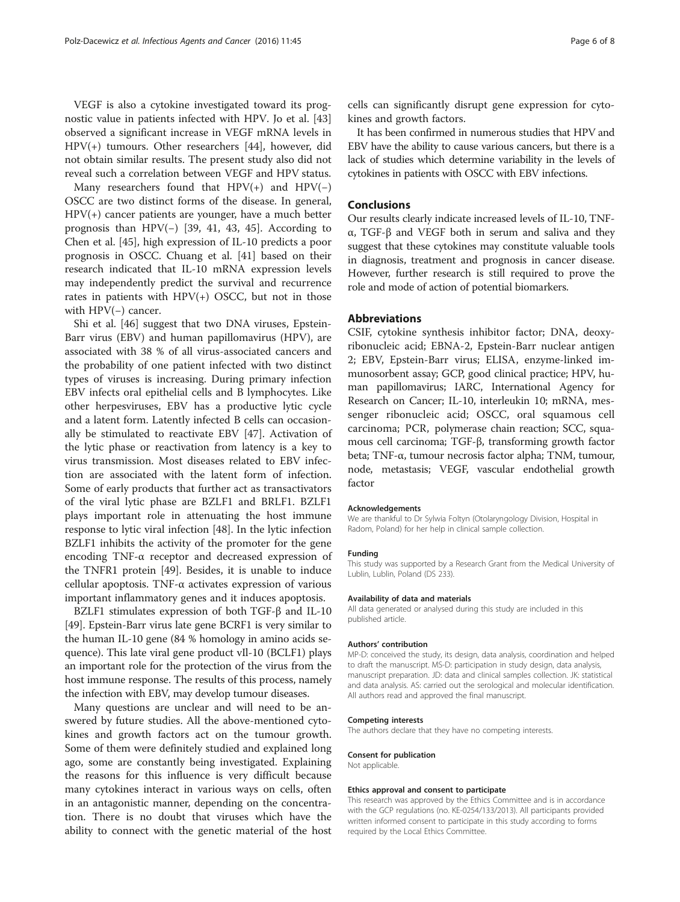VEGF is also a cytokine investigated toward its prognostic value in patients infected with HPV. Jo et al. [[43](#page-6-0)] observed a significant increase in VEGF mRNA levels in HPV(+) tumours. Other researchers [\[44](#page-6-0)], however, did not obtain similar results. The present study also did not reveal such a correlation between VEGF and HPV status.

Many researchers found that  $HPV(+)$  and  $HPV(-)$ OSCC are two distinct forms of the disease. In general,  $HPV(+)$  cancer patients are younger, have a much better prognosis than HPV(−) [\[39](#page-6-0), [41, 43,](#page-6-0) [45\]](#page-7-0). According to Chen et al. [\[45](#page-7-0)], high expression of IL-10 predicts a poor prognosis in OSCC. Chuang et al. [\[41\]](#page-6-0) based on their research indicated that IL-10 mRNA expression levels may independently predict the survival and recurrence rates in patients with  $HPV(+)$  OSCC, but not in those with HPV(−) cancer.

Shi et al. [[46\]](#page-7-0) suggest that two DNA viruses, Epstein-Barr virus (EBV) and human papillomavirus (HPV), are associated with 38 % of all virus-associated cancers and the probability of one patient infected with two distinct types of viruses is increasing. During primary infection EBV infects oral epithelial cells and B lymphocytes. Like other herpesviruses, EBV has a productive lytic cycle and a latent form. Latently infected B cells can occasionally be stimulated to reactivate EBV [[47\]](#page-7-0). Activation of the lytic phase or reactivation from latency is a key to virus transmission. Most diseases related to EBV infection are associated with the latent form of infection. Some of early products that further act as transactivators of the viral lytic phase are BZLF1 and BRLF1. BZLF1 plays important role in attenuating the host immune response to lytic viral infection [\[48](#page-7-0)]. In the lytic infection BZLF1 inhibits the activity of the promoter for the gene encoding TNF-α receptor and decreased expression of the TNFR1 protein [[49\]](#page-7-0). Besides, it is unable to induce cellular apoptosis. TNF-α activates expression of various important inflammatory genes and it induces apoptosis.

BZLF1 stimulates expression of both TGF-β and IL-10 [[49](#page-7-0)]. Epstein-Barr virus late gene BCRF1 is very similar to the human IL-10 gene (84 % homology in amino acids sequence). This late viral gene product vIl-10 (BCLF1) plays an important role for the protection of the virus from the host immune response. The results of this process, namely the infection with EBV, may develop tumour diseases.

Many questions are unclear and will need to be answered by future studies. All the above-mentioned cytokines and growth factors act on the tumour growth. Some of them were definitely studied and explained long ago, some are constantly being investigated. Explaining the reasons for this influence is very difficult because many cytokines interact in various ways on cells, often in an antagonistic manner, depending on the concentration. There is no doubt that viruses which have the ability to connect with the genetic material of the host

cells can significantly disrupt gene expression for cytokines and growth factors.

It has been confirmed in numerous studies that HPV and EBV have the ability to cause various cancers, but there is a lack of studies which determine variability in the levels of cytokines in patients with OSCC with EBV infections.

## Conclusions

Our results clearly indicate increased levels of IL-10, TNFα, TGF-β and VEGF both in serum and saliva and they suggest that these cytokines may constitute valuable tools in diagnosis, treatment and prognosis in cancer disease. However, further research is still required to prove the role and mode of action of potential biomarkers.

## Abbreviations

CSIF, cytokine synthesis inhibitor factor; DNA, deoxyribonucleic acid; EBNA-2, Epstein-Barr nuclear antigen 2; EBV, Epstein-Barr virus; ELISA, enzyme-linked immunosorbent assay; GCP, good clinical practice; HPV, human papillomavirus; IARC, International Agency for Research on Cancer; IL-10, interleukin 10; mRNA, messenger ribonucleic acid; OSCC, oral squamous cell carcinoma; PCR, polymerase chain reaction; SCC, squamous cell carcinoma; TGF-β, transforming growth factor beta; TNF-α, tumour necrosis factor alpha; TNM, tumour, node, metastasis; VEGF, vascular endothelial growth factor

#### Acknowledgements

We are thankful to Dr Sylwia Foltyn (Otolaryngology Division, Hospital in Radom, Poland) for her help in clinical sample collection.

#### Funding

This study was supported by a Research Grant from the Medical University of Lublin, Lublin, Poland (DS 233).

#### Availability of data and materials

All data generated or analysed during this study are included in this published article.

#### Authors' contribution

MP-D: conceived the study, its design, data analysis, coordination and helped to draft the manuscript. MS-D: participation in study design, data analysis, manuscript preparation. JD: data and clinical samples collection. JK: statistical and data analysis. AS: carried out the serological and molecular identification. All authors read and approved the final manuscript.

#### Competing interests

The authors declare that they have no competing interests.

#### Consent for publication

Not applicable.

#### Ethics approval and consent to participate

This research was approved by the Ethics Committee and is in accordance with the GCP regulations (no. KE-0254/133/2013). All participants provided written informed consent to participate in this study according to forms required by the Local Ethics Committee.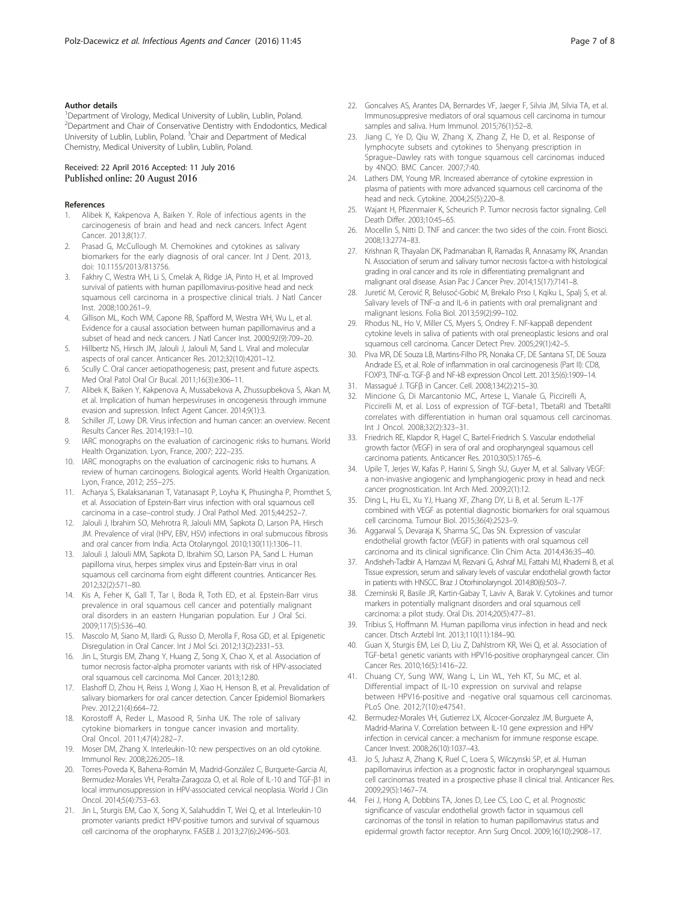## <span id="page-6-0"></span>Author details

<sup>1</sup>Department of Virology, Medical University of Lublin, Lublin, Poland. <sup>2</sup> Department and Chair of Conservative Dentistry with Endodontics, Medical University of Lublin, Lublin, Poland. <sup>3</sup>Chair and Department of Medical Chemistry, Medical University of Lublin, Lublin, Poland.

## Received: 22 April 2016 Accepted: 11 July 2016 Published online: 20 August 2016

#### References

- Alibek K, Kakpenova A, Baiken Y. Role of infectious agents in the carcinogenesis of brain and head and neck cancers. Infect Agent Cancer. 2013;8(1):7.
- Prasad G, McCullough M. Chemokines and cytokines as salivary biomarkers for the early diagnosis of oral cancer. Int J Dent. 2013, doi: [10.1155/2013/813756.](http://dx.doi.org/10.1155/2013/813756)
- 3. Fakhry C, Westra WH, Li S, Cmelak A, Ridge JA, Pinto H, et al. Improved survival of patients with human papillomavirus-positive head and neck squamous cell carcinoma in a prospective clinical trials. J Natl Cancer Inst. 2008;100:261–9.
- Gillison ML, Koch WM, Capone RB, Spafford M, Westra WH, Wu L, et al. Evidence for a causal association between human papillomavirus and a subset of head and neck cancers. J Natl Cancer Inst. 2000;92(9):709–20.
- 5. Hillbertz NS, Hirsch JM, Jalouli J, Jalouli M, Sand L. Viral and molecular aspects of oral cancer. Anticancer Res. 2012;32(10):4201–12.
- 6. Scully C. Oral cancer aetiopathogenesis; past, present and future aspects. Med Oral Patol Oral Cir Bucal. 2011;16(3):e306–11.
- 7. Alibek K, Baiken Y, Kakpenova A, Mussabekova A, Zhussupbekova S, Akan M, et al. Implication of human herpesviruses in oncogenesis through immune evasion and supression. Infect Agent Cancer. 2014;9(1):3.
- 8. Schiller JT, Lowy DR. Virus infection and human cancer: an overview. Recent Results Cancer Res. 2014;193:1–10.
- 9. IARC monographs on the evaluation of carcinogenic risks to humans. World Health Organization. Lyon, France, 2007; 222–235.
- 10. IARC monographs on the evaluation of carcinogenic risks to humans. A review of human carcinogens. Biological agents. World Health Organization. Lyon, France, 2012; 255–275.
- 11. Acharya S, Ekalaksananan T, Vatanasapt P, Loyha K, Phusingha P, Promthet S, et al. Association of Epstein-Barr virus infection with oral squamous cell carcinoma in a case–control study. J Oral Pathol Med. 2015;44:252–7.
- 12. Jalouli J, Ibrahim SO, Mehrotra R, Jalouli MM, Sapkota D, Larson PA, Hirsch JM. Prevalence of viral (HPV, EBV, HSV) infections in oral submucous fibrosis and oral cancer from India. Acta Otolaryngol. 2010;130(11):1306–11.
- 13. Jalouli J, Jalouli MM, Sapkota D, Ibrahim SO, Larson PA, Sand L. Human papilloma virus, herpes simplex virus and Epstein-Barr virus in oral squamous cell carcinoma from eight different countries. Anticancer Res. 2012;32(2):571–80.
- 14. Kis A, Feher K, Gall T, Tar I, Boda R, Toth ED, et al. Epstein-Barr virus prevalence in oral squamous cell cancer and potentially malignant oral disorders in an eastern Hungarian population. Eur J Oral Sci. 2009;117(5):536–40.
- 15. Mascolo M, Siano M, Ilardi G, Russo D, Merolla F, Rosa GD, et al. Epigenetic Disregulation in Oral Cancer. Int J Mol Sci. 2012;13(2):2331–53.
- 16. Jin L, Sturgis EM, Zhang Y, Huang Z, Song X, Chao X, et al. Association of tumor necrosis factor-alpha promoter variants with risk of HPV-associated oral squamous cell carcinoma. Mol Cancer. 2013;12:80.
- 17. Elashoff D, Zhou H, Reiss J, Wong J, Xiao H, Henson B, et al. Prevalidation of salivary biomarkers for oral cancer detection. Cancer Epidemiol Biomarkers Prev. 2012;21(4):664–72.
- 18. Korostoff A, Reder L, Masood R, Sinha UK. The role of salivary cytokine biomarkers in tongue cancer invasion and mortality. Oral Oncol. 2011;47(4):282–7.
- 19. Moser DM, Zhang X. Interleukin-10: new perspectives on an old cytokine. Immunol Rev. 2008;226:205–18.
- 20. Torres-Poveda K, Bahena-Román M, Madrid-González C, Burquete-Garcia AI, Bermudez-Morales VH, Peralta-Zaragoza O, et al. Role of IL-10 and TGF-β1 in local immunosuppression in HPV-associated cervical neoplasia. World J Clin Oncol. 2014;5(4):753–63.
- 21. Jin L, Sturgis EM, Cao X, Song X, Salahuddin T, Wei Q, et al. Interleukin-10 promoter variants predict HPV-positive tumors and survival of squamous cell carcinoma of the oropharynx. FASEB J. 2013;27(6):2496–503.
- 22. Goncalves AS, Arantes DA, Bernardes VF, Jaeger F, Silvia JM, Silvia TA, et al. Immunosuppresive mediators of oral squamous cell carcinoma in tumour samples and saliva. Hum Immunol. 2015;76(1):52–8.
- 23. Jiang C, Ye D, Qiu W, Zhang X, Zhang Z, He D, et al. Response of lymphocyte subsets and cytokines to Shenyang prescription in Sprague–Dawley rats with tongue squamous cell carcinomas induced by 4NQO. BMC Cancer. 2007;7:40.
- 24. Lathers DM, Young MR. Increased aberrance of cytokine expression in plasma of patients with more advanced squamous cell carcinoma of the head and neck. Cytokine. 2004;25(5):220–8.
- 25. Wajant H, Pfizenmaier K, Scheurich P. Tumor necrosis factor signaling. Cell Death Differ. 2003;10:45–65.
- 26. Mocellin S, Nitti D. TNF and cancer: the two sides of the coin. Front Biosci. 2008;13:2774–83.
- 27. Krishnan R, Thayalan DK, Padmanaban R, Ramadas R, Annasamy RK, Anandan N. Association of serum and salivary tumor necrosis factor-α with histological grading in oral cancer and its role in differentiating premalignant and malignant oral disease. Asian Pac J Cancer Prev. 2014;15(17):7141–8.
- 28. Juretić M, Cerović R, Belusoć-Gobić M, Brekalo Prso I, Kqiku L, Spalj S, et al. Salivary levels of TNF-α and IL-6 in patients with oral premalignant and malignant lesions. Folia Biol. 2013;59(2):99–102.
- 29. Rhodus NL, Ho V, Miller CS, Myers S, Ondrey F. NF-kappaB dependent cytokine levels in saliva of patients with oral preneoplastic lesions and oral squamous cell carcinoma. Cancer Detect Prev. 2005;29(1):42–5.
- 30. Piva MR, DE Souza LB, Martins-Filho PR, Nonaka CF, DE Santana ST, DE Souza Andrade ES, et al. Role of inflammation in oral carcinogenesis (Part II): CD8, FOXP3, TNF-α. TGF-β and NF-kB expression Oncol Lett. 2013;5(6):1909–14.
- 31. Massagué J. TGFβ in Cancer. Cell. 2008;134(2):215–30.
- 32. Mincione G, Di Marcantonio MC, Artese L, Vianale G, Piccirelli A, Piccirelli M, et al. Loss of expression of TGF-beta1, TbetaRI and TbetaRII correlates with differentiation in human oral squamous cell carcinomas. Int J Oncol. 2008;32(2):323–31.
- 33. Friedrich RE, Klapdor R, Hagel C, Bartel-Friedrich S. Vascular endothelial growth factor (VEGF) in sera of oral and oropharyngeal squamous cell carcinoma patients. Anticancer Res. 2010;30(5):1765–6.
- 34. Upile T, Jerjes W, Kafas P, Harini S, Singh SU, Guyer M, et al. Salivary VEGF: a non-invasive angiogenic and lymphangiogenic proxy in head and neck cancer prognostication. Int Arch Med. 2009;2(1):12.
- 35. Ding L, Hu EL, Xu YJ, Huang XF, Zhang DY, Li B, et al. Serum IL-17F combined with VEGF as potential diagnostic biomarkers for oral squamous cell carcinoma. Tumour Biol. 2015;36(4):2523–9.
- 36. Aggarwal S, Devaraja K, Sharma SC, Das SN. Expression of vascular endothelial growth factor (VEGF) in patients with oral squamous cell carcinoma and its clinical significance. Clin Chim Acta. 2014;436:35–40.
- 37. Andisheh-Tadbir A, Hamzavi M, Rezvani G, Ashraf MJ, Fattahi MJ, Khademi B, et al. Tissue expression, serum and salivary levels of vascular endothelial growth factor in patients with HNSCC. Braz J Otorhinolaryngol. 2014;80(6):503–7.
- 38. Czerninski R, Basile JR, Kartin-Gabay T, Laviv A, Barak V. Cytokines and tumor markers in potentially malignant disorders and oral squamous cell carcinoma: a pilot study. Oral Dis. 2014;20(5):477–81.
- 39. Tribius S, Hoffmann M. Human papilloma virus infection in head and neck cancer. Dtsch Arztebl Int. 2013;110(11):184–90.
- 40. Guan X, Sturgis EM, Lei D, Liu Z, Dahlstrom KR, Wei Q, et al. Association of TGF-beta1 genetic variants with HPV16-positive oropharyngeal cancer. Clin Cancer Res. 2010;16(5):1416–22.
- 41. Chuang CY, Sung WW, Wang L, Lin WL, Yeh KT, Su MC, et al. Differential impact of IL-10 expression on survival and relapse between HPV16-positive and -negative oral squamous cell carcinomas. PLoS One. 2012;7(10):e47541.
- 42. Bermudez-Morales VH, Gutierrez LX, Alcocer-Gonzalez JM, Burguete A, Madrid-Marina V. Correlation between IL-10 gene expression and HPV infection in cervical cancer: a mechanism for immune response escape. Cancer Invest. 2008;26(10):1037–43.
- 43. Jo S, Juhasz A, Zhang K, Ruel C, Loera S, Wilczynski SP, et al. Human papillomavirus infection as a prognostic factor in oropharyngeal squamous cell carcinomas treated in a prospective phase II clinical trial. Anticancer Res. 2009;29(5):1467–74.
- 44. Fei J, Hong A, Dobbins TA, Jones D, Lee CS, Loo C, et al. Prognostic significance of vascular endothelial growth factor in squamous cell carcinomas of the tonsil in relation to human papillomavirus status and epidermal growth factor receptor. Ann Surg Oncol. 2009;16(10):2908–17.